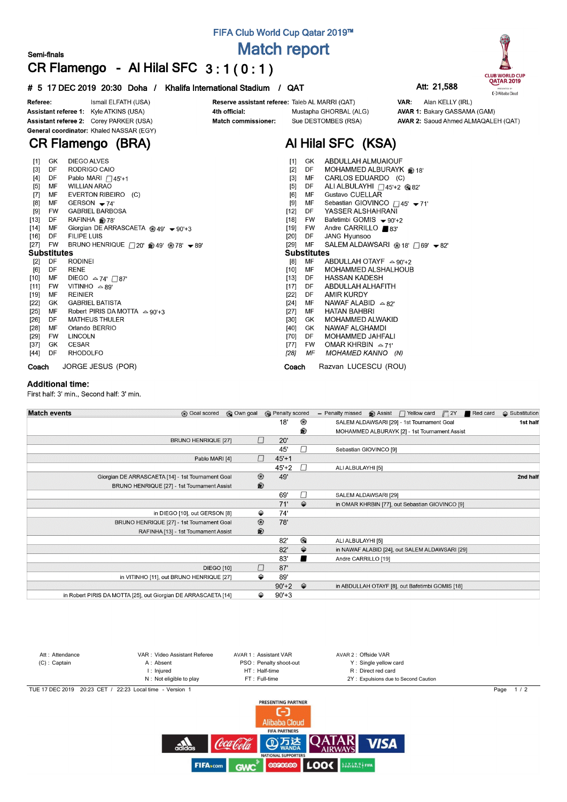## **FIFA Club World Cup Qatar 2019™**

**Match report**

# **CR Flamengo - Al Hilal SFC 3 : 1 ( 0 : 1 )**

### **# 5 17 DEC 2019 20:30 Doha / Khalifa International Stadium / QAT Att: 21,588**



## **CR Flamengo (BRA)**

**Semi-finals**

| $[1]$  | GK          | <b>DIEGO ALVES</b>                                              | [1]    | GK.                | ABDULLAH ALMUAIOUF                                         |
|--------|-------------|-----------------------------------------------------------------|--------|--------------------|------------------------------------------------------------|
| $[3]$  | DF          | RODRIGO CAIO                                                    | $[2]$  | DF                 | MOHAMMED ALBURAYK @ 18'                                    |
| [4]    | DF          | Pablo MARI $\bigcap$ 45'+1                                      | $[3]$  | MF                 | CARLOS EDUARDO (C)                                         |
| $[5]$  | MF          | <b>WILLIAN ARAO</b>                                             | $[5]$  | DF                 | ALI ALBULAYHI $\Box$ 45'+2 @82'                            |
| $[7]$  | МF          | EVERTON RIBEIRO (C)                                             | [6]    | MF                 | Gustavo CUELLAR                                            |
| [8]    | MF          | GERSON $-74'$                                                   | [9]    | MF                 | Sebastian GIOVINCO $\Box$ 45' - 71'                        |
| $[9]$  | FW          | <b>GABRIEL BARBOSA</b>                                          | $[12]$ | DF                 | YASSER ALSHAHRANI                                          |
| $[13]$ | DF          | RAFINHA @ 78'                                                   | [18]   | FW                 | Bafetimbi GOMIS $\div 90+2$                                |
| $[14]$ | MF          | Giorgian DE ARRASCAETA @ 49' $\bullet$ 90'+3                    | [19]   | FW                 | Andre CARRILLO ■83'                                        |
| [16]   | DF.         | <b>FILIPE LUIS</b>                                              | [20]   | DF.                | JANG Hyunsoo                                               |
| $[27]$ | FW          | BRUNO HENRIQUE $\Box$ 20' @ 49' @ 78' $\blacktriangleright$ 89' | [29]   | MF                 | SALEM ALDAWSARI @ 18' $\Box$ 69' $\blacktriangleright$ 82' |
|        | Substitutes |                                                                 |        | <b>Substitutes</b> |                                                            |
| $[2]$  | DF          | <b>RODINEI</b>                                                  | [8]    | MF                 | ABDULLAH OTAYF $\approx$ 90'+2                             |
| [6]    | DF          | <b>RENE</b>                                                     | [10]   | MF                 | MOHAMMED ALSHALHOUB                                        |
| $[10]$ | МF          | DIEGO $\approx$ 74' $\Box$ 87'                                  | $[13]$ | DF                 | HASSAN KADESH                                              |
| [11]   | FW          | VITINHO $\triangle$ 89'                                         | $[17]$ | DF.                | ABDULLAH ALHAFITH                                          |
| $[19]$ | МF          | <b>REINIER</b>                                                  | [22]   | DF                 | AMIR KURDY                                                 |
| [22]   | GK          | <b>GABRIEL BATISTA</b>                                          | [24]   | MF                 | NAWAF ALABID $\approx 82'$                                 |
| $[25]$ | MF          | Robert PIRIS DA MOTTA $\approx$ 90'+3                           | $[27]$ | MF                 | <b>HATAN BAHBRI</b>                                        |
| $[26]$ | DF          | <b>MATHEUS THULER</b>                                           | [30]   | GK.                | <b>MOHAMMED ALWAKID</b>                                    |
| $[28]$ | MF          | Orlando BERRIO                                                  | $[40]$ | GK.                | NAWAF ALGHAMDI                                             |
| [29]   | FW          | <b>LINCOLN</b>                                                  | [70]   | DF.                | <b>MOHAMMED JAHFALI</b>                                    |
| $[37]$ | GK.         | <b>CESAR</b>                                                    | $[77]$ | FW.                | OMAR KHRBIN $\approx$ 71'                                  |
| [44]   | DF          | <b>RHODOLFO</b>                                                 | [28]   | ΜF                 | MOHAMED KANNO (N)                                          |
| Coach  |             | JORGE JESUS (POR)                                               | Coach  |                    | Razvan LUCESCU (ROU)                                       |

#### **Additional time:**

First half: 3' min., Second half: 3' min.

| <b>Match events</b> | <b>B</b> Goal scored                                           | © Own goal | <b>B</b> Penalty scored |               | $\Box$ Yellow card $\Box$ 2Y<br><b>B</b> Assist<br>Red card<br>- Penalty missed | $\triangle$ Substitution |
|---------------------|----------------------------------------------------------------|------------|-------------------------|---------------|---------------------------------------------------------------------------------|--------------------------|
|                     |                                                                |            | 18'                     | ⊛             | SALEM ALDAWSARI [29] - 1st Tournament Goal                                      | 1st half                 |
|                     |                                                                |            |                         | ®             | MOHAMMED ALBURAYK [2] - 1st Tournament Assist                                   |                          |
|                     | <b>BRUNO HENRIQUE [27]</b>                                     |            | П<br>20'                |               |                                                                                 |                          |
|                     |                                                                |            | 45'                     | $\Box$        | Sebastian GIOVINCO [9]                                                          |                          |
|                     | Pablo MARI [4]                                                 |            | $\Box$<br>$45' + 1$     |               |                                                                                 |                          |
|                     |                                                                |            | $45+2$                  | $\Box$        | ALI ALBULAYHI [5]                                                               |                          |
|                     | Giorgian DE ARRASCAETA [14] - 1st Tournament Goal              |            | ⊛<br>49'                |               |                                                                                 | 2nd half                 |
|                     | BRUNO HENRIQUE [27] - 1st Tournament Assist                    |            | $\circledR$             |               |                                                                                 |                          |
|                     |                                                                |            | 69'                     | П             | SALEM ALDAWSARI [29]                                                            |                          |
|                     |                                                                |            | 71'                     | ⇔             | in OMAR KHRBIN [77], out Sebastian GIOVINCO [9]                                 |                          |
|                     | in DIEGO [10], out GERSON [8]                                  |            | ⇔<br>74'                |               |                                                                                 |                          |
|                     | BRUNO HENRIQUE [27] - 1st Tournament Goal                      |            | $^{\circledR}$<br>78'   |               |                                                                                 |                          |
|                     | RAFINHA [13] - 1st Tournament Assist                           |            | ®                       |               |                                                                                 |                          |
|                     |                                                                |            | 82'                     | ⊛             | ALI ALBULAYHI [5]                                                               |                          |
|                     |                                                                |            | 82'                     | ⇔             | in NAWAF ALABID [24], out SALEM ALDAWSARI [29]                                  |                          |
|                     |                                                                |            | 83'                     | ■             | Andre CARRILLO [19]                                                             |                          |
|                     | <b>DIEGO [10]</b>                                              |            | □<br>87'                |               |                                                                                 |                          |
|                     | in VITINHO [11], out BRUNO HENRIQUE [27]                       |            | ⇔<br>89'                |               |                                                                                 |                          |
|                     |                                                                |            | $90'+2$                 | $\Rightarrow$ | in ABDULLAH OTAYF [8], out Bafetimbi GOMIS [18]                                 |                          |
|                     | in Robert PIRIS DA MOTTA [25], out Giorgian DE ARRASCAETA [14] |            | $90'+3$<br>⇔            |               |                                                                                 |                          |